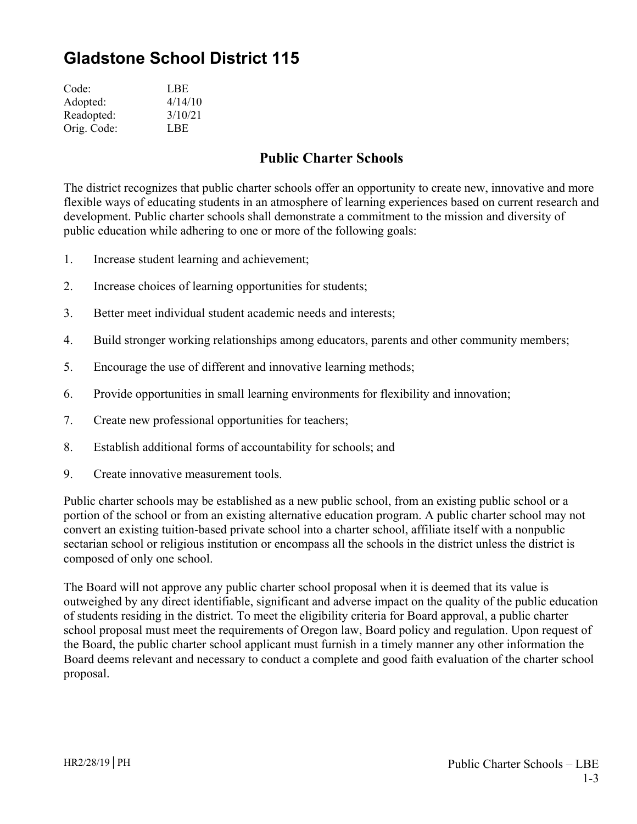## **Gladstone School District 115**

| Code:       | LBE     |
|-------------|---------|
| Adopted:    | 4/14/10 |
| Readopted:  | 3/10/21 |
| Orig. Code: | LBE     |

## **Public Charter Schools**

The district recognizes that public charter schools offer an opportunity to create new, innovative and more flexible ways of educating students in an atmosphere of learning experiences based on current research and development. Public charter schools shall demonstrate a commitment to the mission and diversity of public education while adhering to one or more of the following goals:

- 1. Increase student learning and achievement;
- 2. Increase choices of learning opportunities for students;
- 3. Better meet individual student academic needs and interests;
- 4. Build stronger working relationships among educators, parents and other community members;
- 5. Encourage the use of different and innovative learning methods;
- 6. Provide opportunities in small learning environments for flexibility and innovation;
- 7. Create new professional opportunities for teachers;
- 8. Establish additional forms of accountability for schools; and
- 9. Create innovative measurement tools.

Public charter schools may be established as a new public school, from an existing public school or a portion of the school or from an existing alternative education program. A public charter school may not convert an existing tuition-based private school into a charter school, affiliate itself with a nonpublic sectarian school or religious institution or encompass all the schools in the district unless the district is composed of only one school.

The Board will not approve any public charter school proposal when it is deemed that its value is outweighed by any direct identifiable, significant and adverse impact on the quality of the public education of students residing in the district. To meet the eligibility criteria for Board approval, a public charter school proposal must meet the requirements of Oregon law, Board policy and regulation. Upon request of the Board, the public charter school applicant must furnish in a timely manner any other information the Board deems relevant and necessary to conduct a complete and good faith evaluation of the charter school proposal.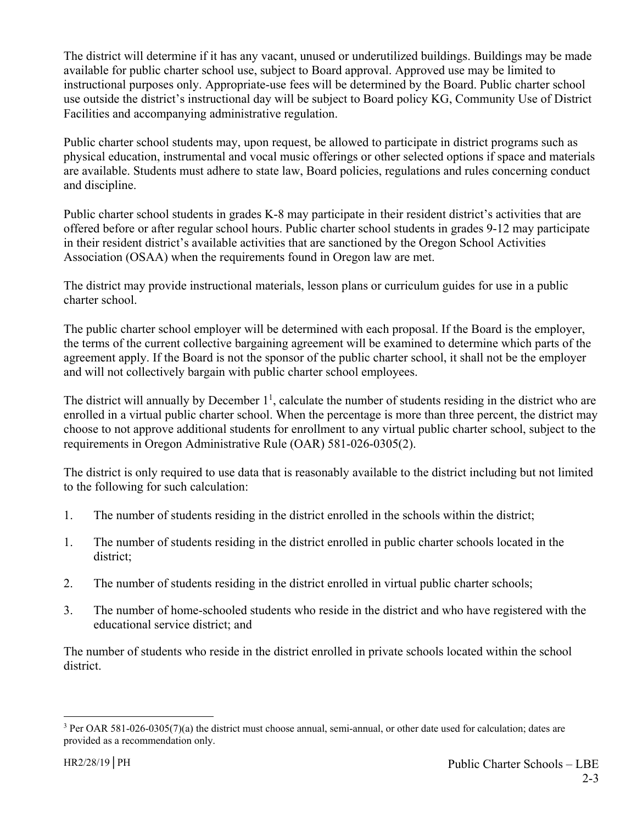The district will determine if it has any vacant, unused or underutilized buildings. Buildings may be made available for public charter school use, subject to Board approval. Approved use may be limited to instructional purposes only. Appropriate-use fees will be determined by the Board. Public charter school use outside the district's instructional day will be subject to Board policy KG, Community Use of District Facilities and accompanying administrative regulation.

Public charter school students may, upon request, be allowed to participate in district programs such as physical education, instrumental and vocal music offerings or other selected options if space and materials are available. Students must adhere to state law, Board policies, regulations and rules concerning conduct and discipline.

Public charter school students in grades K-8 may participate in their resident district's activities that are offered before or after regular school hours. Public charter school students in grades 9-12 may participate in their resident district's available activities that are sanctioned by the Oregon School Activities Association (OSAA) when the requirements found in Oregon law are met.

The district may provide instructional materials, lesson plans or curriculum guides for use in a public charter school.

The public charter school employer will be determined with each proposal. If the Board is the employer, the terms of the current collective bargaining agreement will be examined to determine which parts of the agreement apply. If the Board is not the sponsor of the public charter school, it shall not be the employer and will not collectively bargain with public charter school employees.

The district will annually by December  $1<sup>1</sup>$ , calculate the number of students residing in the district who are enrolled in a virtual public charter school. When the percentage is more than three percent, the district may choose to not approve additional students for enrollment to any virtual public charter school, subject to the requirements in Oregon Administrative Rule (OAR) 581-026-0305(2).

The district is only required to use data that is reasonably available to the district including but not limited to the following for such calculation:

- 1. The number of students residing in the district enrolled in the schools within the district;
- 1. The number of students residing in the district enrolled in public charter schools located in the district;
- 2. The number of students residing in the district enrolled in virtual public charter schools;
- 3. The number of home-schooled students who reside in the district and who have registered with the educational service district; and

The number of students who reside in the district enrolled in private schools located within the school district.

 $\overline{a}$ 

 $3$  Per OAR 581-026-0305(7)(a) the district must choose annual, semi-annual, or other date used for calculation; dates are provided as a recommendation only.